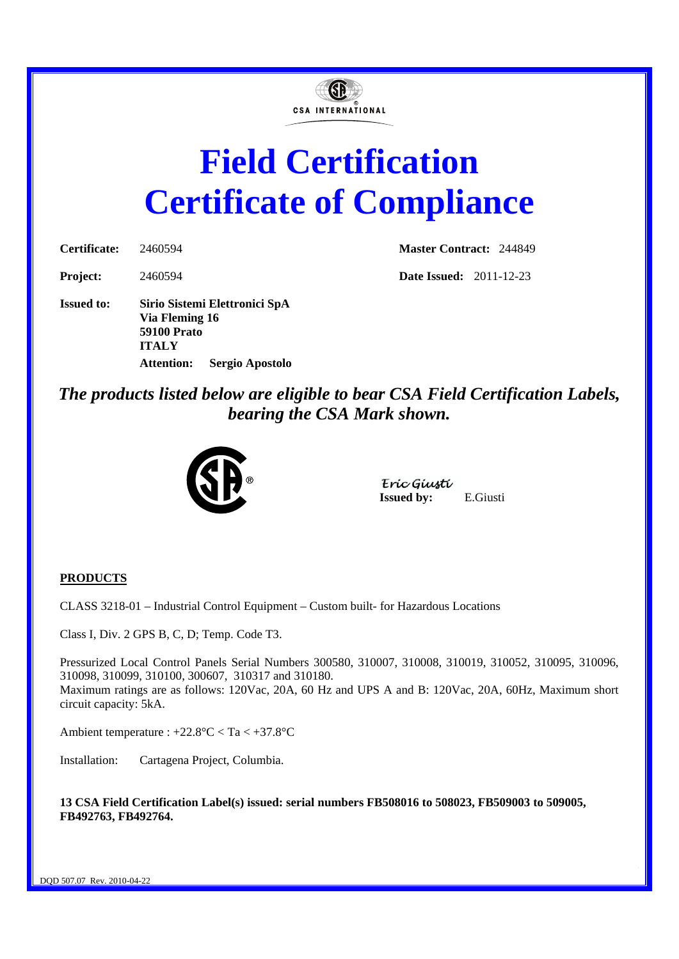

# **Field Certification Certificate of Compliance**

| Certificate:             | 2460594      |
|--------------------------|--------------|
| $\overline{\phantom{a}}$ | . <i>. .</i> |

**Master Contract:** 244849

**Project:** 2460594 **Date Issued:** 2011-12-23

**Issued to: Sirio Sistemi Elettronici SpA Via Fleming 16 59100 Prato ITALY Attention: Sergio Apostolo** 

*The products listed below are eligible to bear CSA Field Certification Labels, bearing the CSA Mark shown.* 



Eríc Gíustí **Issued by:** E.Giusti

# **PRODUCTS**

CLASS 3218-01 – Industrial Control Equipment – Custom built- for Hazardous Locations

Class I, Div. 2 GPS B, C, D; Temp. Code T3.

Pressurized Local Control Panels Serial Numbers 300580, 310007, 310008, 310019, 310052, 310095, 310096, 310098, 310099, 310100, 300607, 310317 and 310180. Maximum ratings are as follows: 120Vac, 20A, 60 Hz and UPS A and B: 120Vac, 20A, 60Hz, Maximum short circuit capacity: 5kA.

Ambient temperature : +22.8°C < Ta < +37.8°C

Installation: Cartagena Project, Columbia.

**13 CSA Field Certification Label(s) issued: serial numbers FB508016 to 508023, FB509003 to 509005, FB492763, FB492764.**

DQD 507.07 Rev. 2010-04-22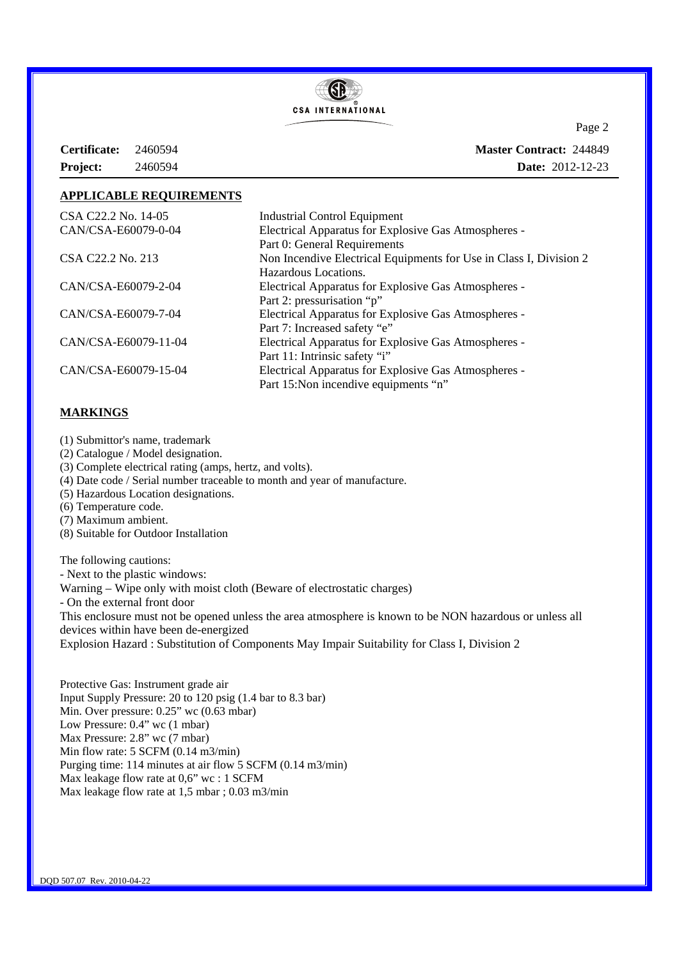

**Certificate:** 2460594 **Project:** 2460594

Page 2 **Master Contract:** 244849 **Date:** 2012-12-23

# **APPLICABLE REQUIREMENTS**

| CSA C22.2 No. 14-05  | <b>Industrial Control Equipment</b>                                |
|----------------------|--------------------------------------------------------------------|
| CAN/CSA-E60079-0-04  | Electrical Apparatus for Explosive Gas Atmospheres -               |
|                      | Part 0: General Requirements                                       |
| CSA C22.2 No. 213    | Non Incendive Electrical Equipments for Use in Class I, Division 2 |
|                      | Hazardous Locations.                                               |
| CAN/CSA-E60079-2-04  | Electrical Apparatus for Explosive Gas Atmospheres -               |
|                      | Part 2: pressurisation "p"                                         |
| CAN/CSA-E60079-7-04  | Electrical Apparatus for Explosive Gas Atmospheres -               |
|                      | Part 7: Increased safety "e"                                       |
| CAN/CSA-E60079-11-04 | Electrical Apparatus for Explosive Gas Atmospheres -               |
|                      | Part 11: Intrinsic safety "i"                                      |
| CAN/CSA-E60079-15-04 | <b>Electrical Apparatus for Explosive Gas Atmospheres -</b>        |
|                      | Part 15: Non incendive equipments "n"                              |

# **MARKINGS**

- (1) Submittor's name, trademark
- (2) Catalogue / Model designation.
- (3) Complete electrical rating (amps, hertz, and volts).
- (4) Date code / Serial number traceable to month and year of manufacture.
- (5) Hazardous Location designations.
- (6) Temperature code.
- (7) Maximum ambient.
- (8) Suitable for Outdoor Installation

The following cautions: - Next to the plastic windows: Warning – Wipe only with moist cloth (Beware of electrostatic charges) - On the external front door This enclosure must not be opened unless the area atmosphere is known to be NON hazardous or unless all devices within have been de-energized Explosion Hazard : Substitution of Components May Impair Suitability for Class I, Division 2

Protective Gas: Instrument grade air Input Supply Pressure: 20 to 120 psig (1.4 bar to 8.3 bar) Min. Over pressure: 0.25" wc (0.63 mbar) Low Pressure: 0.4" wc (1 mbar) Max Pressure: 2.8" wc (7 mbar) Min flow rate: 5 SCFM (0.14 m3/min) Purging time: 114 minutes at air flow 5 SCFM (0.14 m3/min) Max leakage flow rate at 0,6" wc : 1 SCFM Max leakage flow rate at 1,5 mbar ; 0.03 m3/min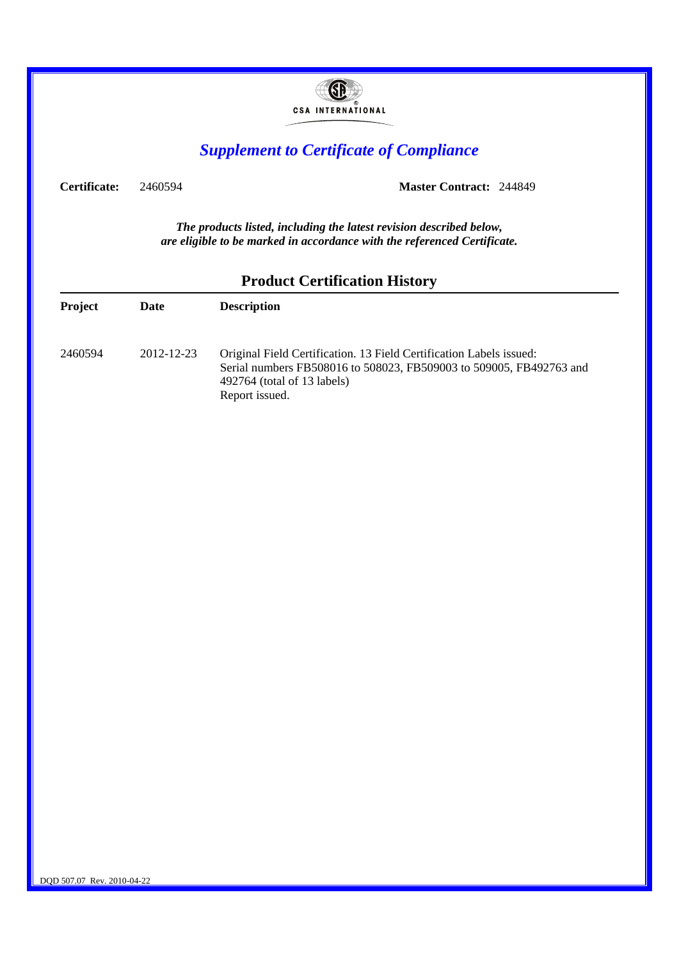|              |            | <b>CSA INTERNATIONAL</b>                                                                                                                                                                    |
|--------------|------------|---------------------------------------------------------------------------------------------------------------------------------------------------------------------------------------------|
|              |            | <b>Supplement to Certificate of Compliance</b>                                                                                                                                              |
| Certificate: | 2460594    | <b>Master Contract: 244849</b>                                                                                                                                                              |
|              |            | The products listed, including the latest revision described below,<br>are eligible to be marked in accordance with the referenced Certificate.<br><b>Product Certification History</b>     |
| Project      | Date       | <b>Description</b>                                                                                                                                                                          |
| 2460594      | 2012-12-23 | Original Field Certification. 13 Field Certification Labels issued:<br>Serial numbers FB508016 to 508023, FB509003 to 509005, FB492763 and<br>492764 (total of 13 labels)<br>Report issued. |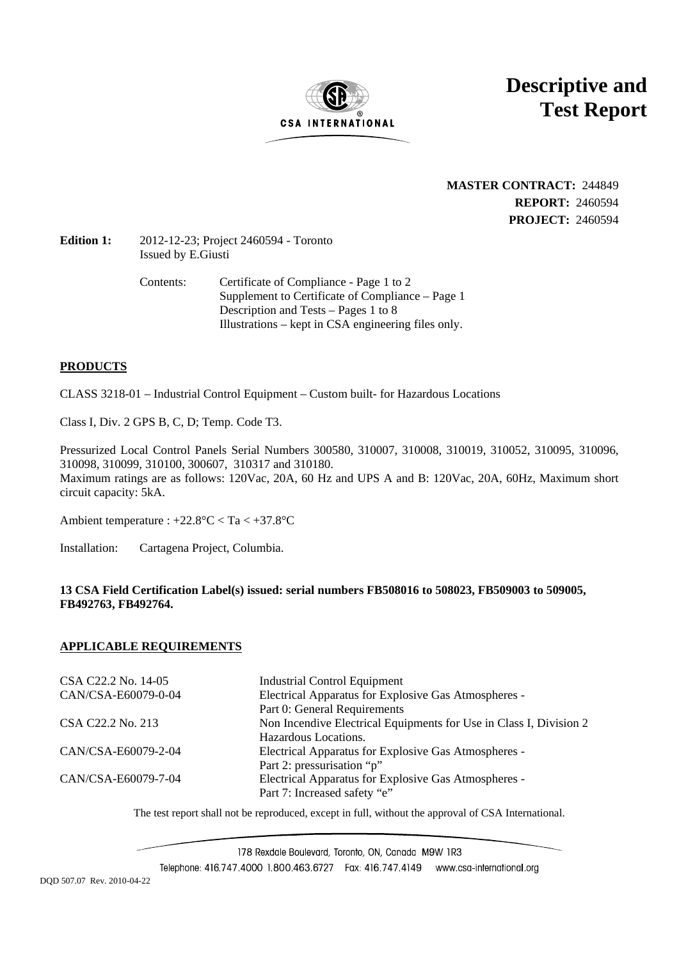

**Descriptive and Test Report**

# **MASTER CONTRACT:** 244849 **REPORT:** 2460594 **PROJECT:** 2460594

# **Edition 1:** 2012-12-23; Project 2460594 - Toronto Issued by E.Giusti

Contents: Certificate of Compliance - Page 1 to 2 Supplement to Certificate of Compliance – Page 1 Description and Tests – Pages 1 to 8 Illustrations – kept in CSA engineering files only.

# **PRODUCTS**

CLASS 3218-01 – Industrial Control Equipment – Custom built- for Hazardous Locations

Class I, Div. 2 GPS B, C, D; Temp. Code T3.

Pressurized Local Control Panels Serial Numbers 300580, 310007, 310008, 310019, 310052, 310095, 310096, 310098, 310099, 310100, 300607, 310317 and 310180. Maximum ratings are as follows: 120Vac, 20A, 60 Hz and UPS A and B: 120Vac, 20A, 60Hz, Maximum short circuit capacity: 5kA.

Ambient temperature : +22.8°C < Ta < +37.8°C

Installation: Cartagena Project, Columbia.

# **13 CSA Field Certification Label(s) issued: serial numbers FB508016 to 508023, FB509003 to 509005, FB492763, FB492764.**

# **APPLICABLE REQUIREMENTS**

CSA C22.2 No. 14-05 Industrial Control Equipment CAN/CSA-E60079-0-04 Electrical Apparatus for Explosive Gas Atmospheres - Part 0: General Requirements CSA C22.2 No. 213 Non Incendive Electrical Equipments for Use in Class I, Division 2 Hazardous Locations. CAN/CSA-E60079-2-04 Electrical Apparatus for Explosive Gas Atmospheres - Part 2: pressurisation "p" CAN/CSA-E60079-7-04 Electrical Apparatus for Explosive Gas Atmospheres - Part 7: Increased safety "e"

The test report shall not be reproduced, except in full, without the approval of CSA International.

178 Rexdale Boulevard, Toronto, ON, Canada M9W 1R3

Telephone: 416.747.4000 1.800.463.6727 Fax: 416.747.4149 www.csa-international.org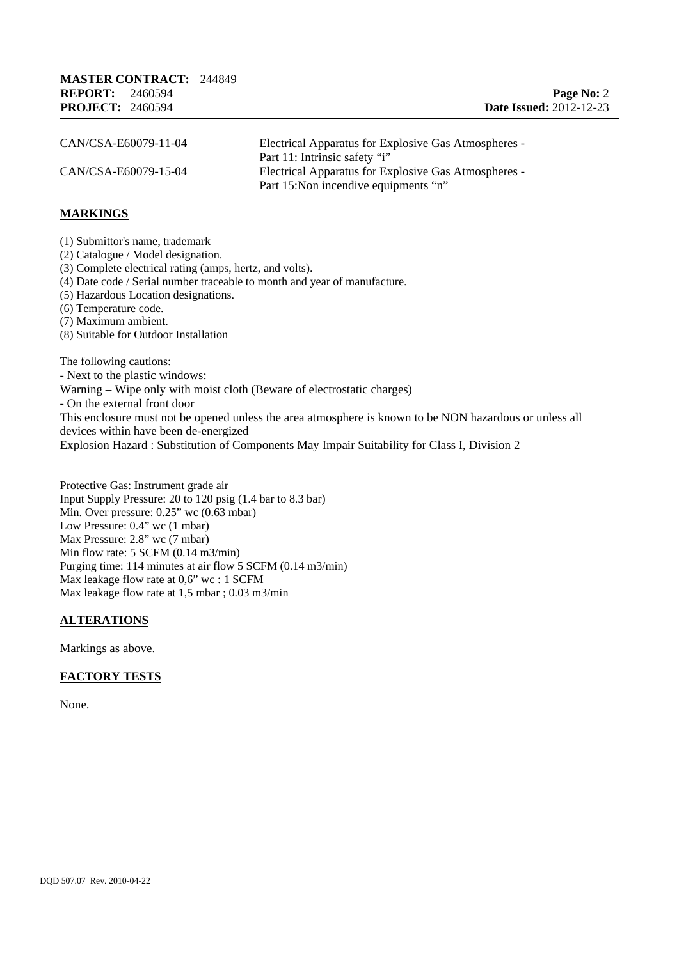| CAN/CSA-E60079-11-04 | Electrical Apparatus for Explosive Gas Atmospheres - |
|----------------------|------------------------------------------------------|
|                      | Part 11: Intrinsic safety "i"                        |
| CAN/CSA-E60079-15-04 | Electrical Apparatus for Explosive Gas Atmospheres - |
|                      | Part 15: Non incendive equipments "n"                |

## **MARKINGS**

(1) Submittor's name, trademark (2) Catalogue / Model designation. (3) Complete electrical rating (amps, hertz, and volts). (4) Date code / Serial number traceable to month and year of manufacture. (5) Hazardous Location designations. (6) Temperature code. (7) Maximum ambient. (8) Suitable for Outdoor Installation The following cautions: - Next to the plastic windows: Warning – Wipe only with moist cloth (Beware of electrostatic charges) - On the external front door This enclosure must not be opened unless the area atmosphere is known to be NON hazardous or unless all devices within have been de-energized

Explosion Hazard : Substitution of Components May Impair Suitability for Class I, Division 2

Protective Gas: Instrument grade air Input Supply Pressure: 20 to 120 psig (1.4 bar to 8.3 bar) Min. Over pressure: 0.25" wc (0.63 mbar) Low Pressure: 0.4" wc (1 mbar) Max Pressure: 2.8" wc (7 mbar) Min flow rate: 5 SCFM (0.14 m3/min) Purging time: 114 minutes at air flow 5 SCFM (0.14 m3/min) Max leakage flow rate at 0,6" wc : 1 SCFM Max leakage flow rate at 1,5 mbar ; 0.03 m3/min

# **ALTERATIONS**

Markings as above.

#### **FACTORY TESTS**

None.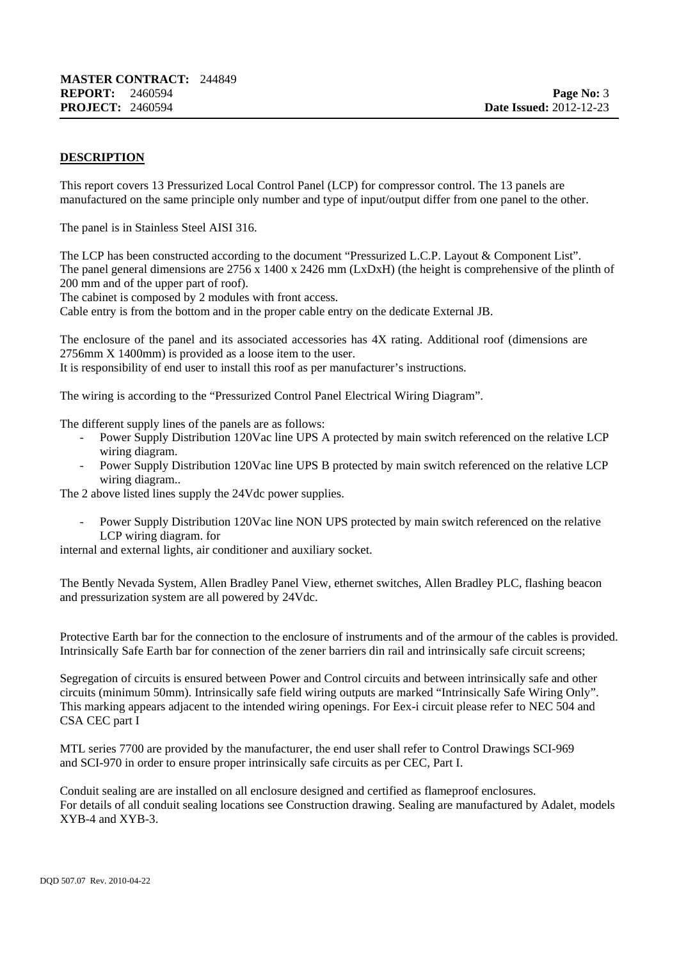# **DESCRIPTION**

This report covers 13 Pressurized Local Control Panel (LCP) for compressor control. The 13 panels are manufactured on the same principle only number and type of input/output differ from one panel to the other.

The panel is in Stainless Steel AISI 316.

The LCP has been constructed according to the document "Pressurized L.C.P. Layout & Component List". The panel general dimensions are  $2756 \times 1400 \times 2426$  mm (LxDxH) (the height is comprehensive of the plinth of 200 mm and of the upper part of roof).

The cabinet is composed by 2 modules with front access.

Cable entry is from the bottom and in the proper cable entry on the dedicate External JB.

The enclosure of the panel and its associated accessories has 4X rating. Additional roof (dimensions are 2756mm X 1400mm) is provided as a loose item to the user. It is responsibility of end user to install this roof as per manufacturer's instructions.

The wiring is according to the "Pressurized Control Panel Electrical Wiring Diagram".

The different supply lines of the panels are as follows:

- Power Supply Distribution 120Vac line UPS A protected by main switch referenced on the relative LCP wiring diagram.
- Power Supply Distribution 120Vac line UPS B protected by main switch referenced on the relative LCP wiring diagram..

The 2 above listed lines supply the 24Vdc power supplies.

Power Supply Distribution 120Vac line NON UPS protected by main switch referenced on the relative LCP wiring diagram. for

internal and external lights, air conditioner and auxiliary socket.

The Bently Nevada System, Allen Bradley Panel View, ethernet switches, Allen Bradley PLC, flashing beacon and pressurization system are all powered by 24Vdc.

Protective Earth bar for the connection to the enclosure of instruments and of the armour of the cables is provided. Intrinsically Safe Earth bar for connection of the zener barriers din rail and intrinsically safe circuit screens;

Segregation of circuits is ensured between Power and Control circuits and between intrinsically safe and other circuits (minimum 50mm). Intrinsically safe field wiring outputs are marked "Intrinsically Safe Wiring Only". This marking appears adjacent to the intended wiring openings. For Eex-i circuit please refer to NEC 504 and CSA CEC part I

MTL series 7700 are provided by the manufacturer, the end user shall refer to Control Drawings SCI-969 and SCI-970 in order to ensure proper intrinsically safe circuits as per CEC, Part I.

Conduit sealing are are installed on all enclosure designed and certified as flameproof enclosures. For details of all conduit sealing locations see Construction drawing. Sealing are manufactured by Adalet, models XYB-4 and XYB-3.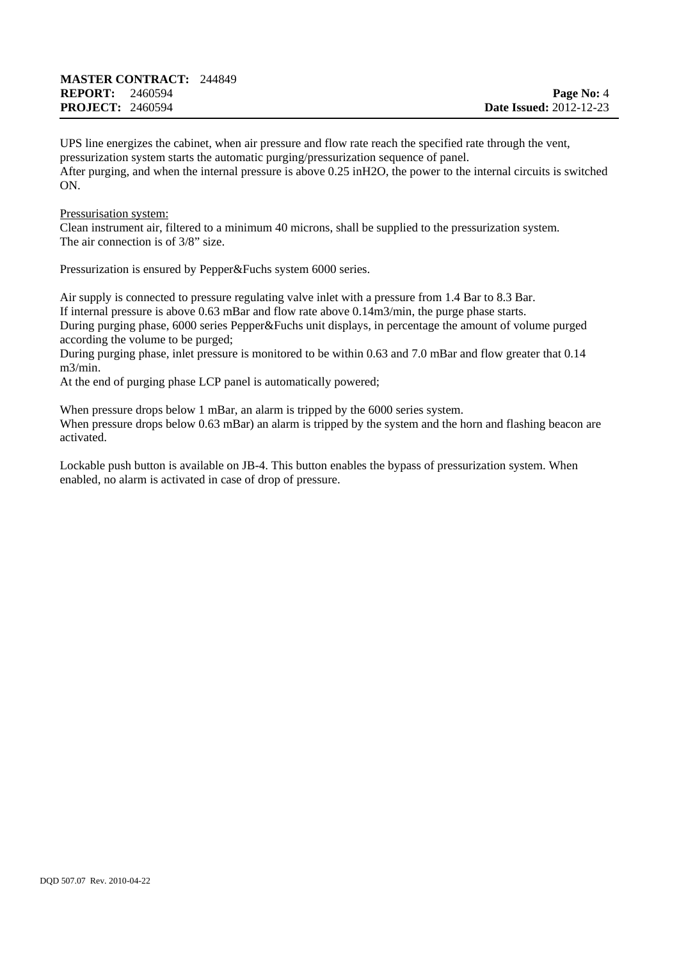UPS line energizes the cabinet, when air pressure and flow rate reach the specified rate through the vent, pressurization system starts the automatic purging/pressurization sequence of panel. After purging, and when the internal pressure is above 0.25 inH2O, the power to the internal circuits is switched ON.

#### Pressurisation system:

Clean instrument air, filtered to a minimum 40 microns, shall be supplied to the pressurization system. The air connection is of 3/8" size.

Pressurization is ensured by Pepper&Fuchs system 6000 series.

Air supply is connected to pressure regulating valve inlet with a pressure from 1.4 Bar to 8.3 Bar. If internal pressure is above 0.63 mBar and flow rate above 0.14m3/min, the purge phase starts. During purging phase, 6000 series Pepper&Fuchs unit displays, in percentage the amount of volume purged according the volume to be purged;

During purging phase, inlet pressure is monitored to be within 0.63 and 7.0 mBar and flow greater that 0.14 m3/min.

At the end of purging phase LCP panel is automatically powered;

When pressure drops below 1 mBar, an alarm is tripped by the 6000 series system. When pressure drops below 0.63 mBar) an alarm is tripped by the system and the horn and flashing beacon are activated.

Lockable push button is available on JB-4. This button enables the bypass of pressurization system. When enabled, no alarm is activated in case of drop of pressure.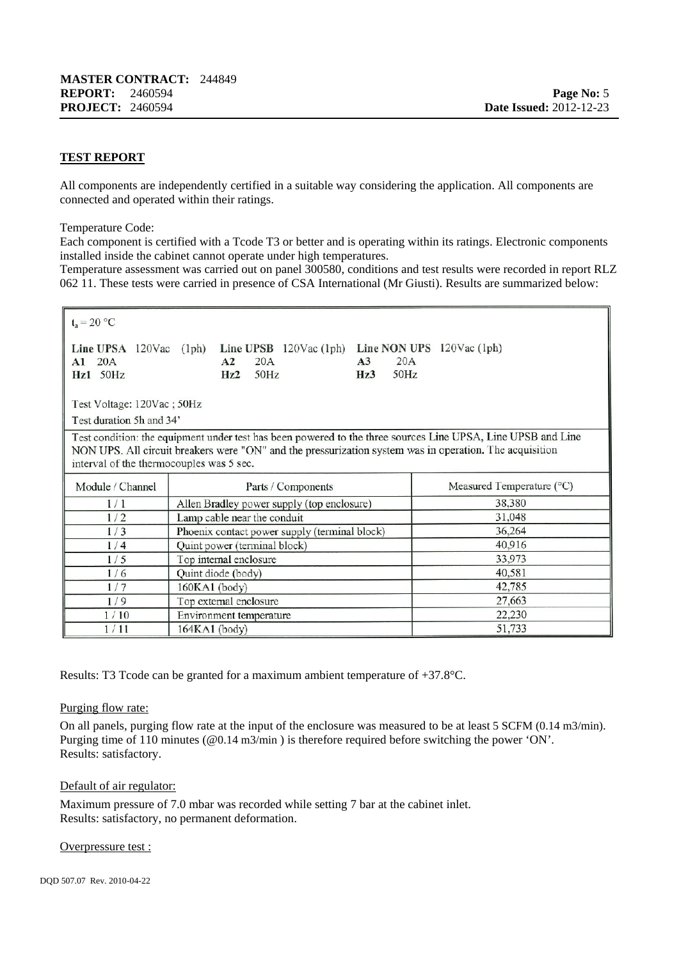## **TEST REPORT**

All components are independently certified in a suitable way considering the application. All components are connected and operated within their ratings.

Temperature Code:

Each component is certified with a Tcode T3 or better and is operating within its ratings. Electronic components installed inside the cabinet cannot operate under high temperatures.

Temperature assessment was carried out on panel 300580, conditions and test results were recorded in report RLZ 062 11. These tests were carried in presence of CSA International (Mr Giusti). Results are summarized below:

 $t_{0} = 20 °C$ 

|            |  |            | Line UPSA 120Vac (1ph) Line UPSB 120Vac (1ph) Line NON UPS 120Vac (1ph) |    |            |  |
|------------|--|------------|-------------------------------------------------------------------------|----|------------|--|
| A1 20A     |  | $A2 \t20A$ |                                                                         | A3 | 20A        |  |
| $Hz1$ 50Hz |  | $Hz2$ 50Hz |                                                                         |    | $Hz3$ 50Hz |  |

Test Voltage: 120Vac; 50Hz

Test duration 5h and 34'

Test condition: the equipment under test has been powered to the three sources Line UPSA, Line UPSB and Line NON UPS. All circuit breakers were "ON" and the pressurization system was in operation. The acquisition interval of the thermocouples was 5 sec.

| Module / Channel | Parts / Components                            | Measured Temperature (°C) |
|------------------|-----------------------------------------------|---------------------------|
| 1/1              | Allen Bradley power supply (top enclosure)    | 38,380                    |
| 1/2              | Lamp cable near the conduit                   | 31,048                    |
| 1/3              | Phoenix contact power supply (terminal block) | 36,264                    |
| 1/4              | Quint power (terminal block)                  | 40,916                    |
| 1/5              | Top internal enclosure                        | 33,973                    |
| 1/6              | Quint diode (body)                            | 40,581                    |
| 1/7              | 160KA1 (body)                                 | 42,785                    |
| 1/9              | Top external enclosure                        | 27,663                    |
| 1/10             | Environment temperature                       | 22,230                    |
| 1/11             | 164KA1 (body)                                 | 51,733                    |

Results: T3 Tcode can be granted for a maximum ambient temperature of +37.8°C.

#### Purging flow rate:

On all panels, purging flow rate at the input of the enclosure was measured to be at least 5 SCFM (0.14 m3/min). Purging time of 110 minutes (@0.14 m3/min ) is therefore required before switching the power 'ON'. Results: satisfactory.

#### Default of air regulator:

Maximum pressure of 7.0 mbar was recorded while setting 7 bar at the cabinet inlet. Results: satisfactory, no permanent deformation.

#### Overpressure test :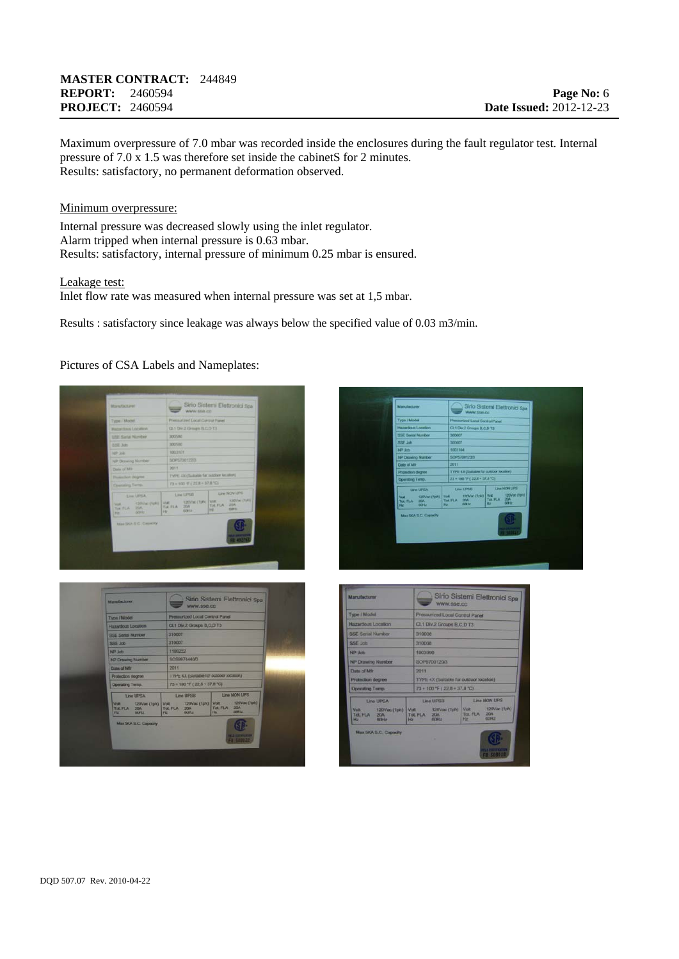## **MASTER CONTRACT:** 244849 **REPORT:** 2460594 **PROJECT:** 2460594

Maximum overpressure of 7.0 mbar was recorded inside the enclosures during the fault regulator test. Internal pressure of 7.0 x 1.5 was therefore set inside the cabinetS for 2 minutes. Results: satisfactory, no permanent deformation observed.

#### Minimum overpressure:

Internal pressure was decreased slowly using the inlet regulator. Alarm tripped when internal pressure is 0.63 mbar. Results: satisfactory, internal pressure of minimum 0.25 mbar is ensured.

#### Leakage test:

Inlet flow rate was measured when internal pressure was set at 1,5 mbar.

Results : satisfactory since leakage was always below the specified value of 0.03 m3/min.

## Pictures of CSA Labels and Nameplates:

| Mark/Scheel                                                                   | Sirio Sistemi Elettronici Spa<br>WWW.558.cc                                                                       |
|-------------------------------------------------------------------------------|-------------------------------------------------------------------------------------------------------------------|
| Type / Model                                                                  | Phensical League Control Panel                                                                                    |
| <b>FRADAVISION LOCATION</b>                                                   | CL1 Dw 2 Groups B.C.D T3                                                                                          |
| <b><i>ISSE Sarial Norreland</i></b>                                           | <b>SOCIATA</b>                                                                                                    |
| <b>DDE John</b>                                                               | 300580                                                                                                            |
| NIF 2061                                                                      | <b>SOCIETOT</b>                                                                                                   |
| NP Drawing Norsber                                                            | 50957001220                                                                                                       |
| Date of Mir.                                                                  | 2011                                                                                                              |
| <b>Thusachon (Nights)</b>                                                     | TYPE AX (Taskable) for outdoor knument                                                                            |
| <b>Counting Terre</b> .                                                       | $72 + 100$ 'F ( $22.8 - 37.8$ 'C)                                                                                 |
| <b>Electricity</b>                                                            | Line NON1892<br>Line UP58                                                                                         |
| <b>CONNECTIVAL VIVE</b><br><b>VOR.</b><br>Tol FLA 20A<br>cotto.<br>Mary Links | 120Val (195) Viet 120Val (191)<br>Tot FLA 204<br>THE FEA 20A<br><b>AGEN</b><br>Hd.<br><b>ADMIR</b><br><b>Ver.</b> |
|                                                                               |                                                                                                                   |
|                                                                               |                                                                                                                   |
| <b>Manufacturer</b>                                                           | Sirio Sistemi Elettronici Spa<br>www.sse.cc                                                                       |
| <b>Type / Model</b>                                                           | Pressurized Local Control Panel                                                                                   |
| Haractout Location                                                            | CL1 Div.2 Groups B,C,D T3                                                                                         |
| <b>SSE Serial Number</b>                                                      | 310007                                                                                                            |
| <b>SSE Job</b>                                                                | 310007                                                                                                            |
| NP Job                                                                        | 1109222                                                                                                           |
|                                                                               | 5059974440/3                                                                                                      |
| NP Drawing Number<br><b>Date of Mfr</b>                                       | 2011                                                                                                              |

 $73 + 100$  °F (22.8)



| Manufacturer                      |                                                                                                                | Sirio Sistemi Elettronici Spa<br>WWW.SSB.CO |  |  |  |
|-----------------------------------|----------------------------------------------------------------------------------------------------------------|---------------------------------------------|--|--|--|
| <b>Type / Model</b>               | Pressurized Local Control Panel                                                                                |                                             |  |  |  |
| Hazantous Location                |                                                                                                                | CL1 Div.2 Groups B,C,D T3                   |  |  |  |
| <b>SSE Senal Number</b>           | 310008                                                                                                         |                                             |  |  |  |
| SSE Job                           | 310008                                                                                                         |                                             |  |  |  |
| NP Job                            | 1003099                                                                                                        |                                             |  |  |  |
| <b>NP Drawing Number</b>          | SOP5700120/3                                                                                                   |                                             |  |  |  |
| Done of Mir                       | 2011                                                                                                           |                                             |  |  |  |
| <b>Protection degree</b>          |                                                                                                                | TYPE 4X (Suitable for outdoor location)     |  |  |  |
| Operating Temp.                   | 73 + 100 °F (22.8 + 37.8 °C)                                                                                   |                                             |  |  |  |
| Line LIPSIA<br><b>GIBER</b><br>Hz | <b>Line UPSB</b><br>Volt 120Vac (1ph) Volt 120Vac (1ph) Volt 120Vac (1ph)<br>Tot. FLA 20A<br><b>GOHz</b><br>Hr | Line NON UPS<br><b>GOHz</b><br>Hz           |  |  |  |
| Max 5KA S.C. Capacity             |                                                                                                                | <b>STE 25 75 6 77</b><br><b>FB 508010</b>   |  |  |  |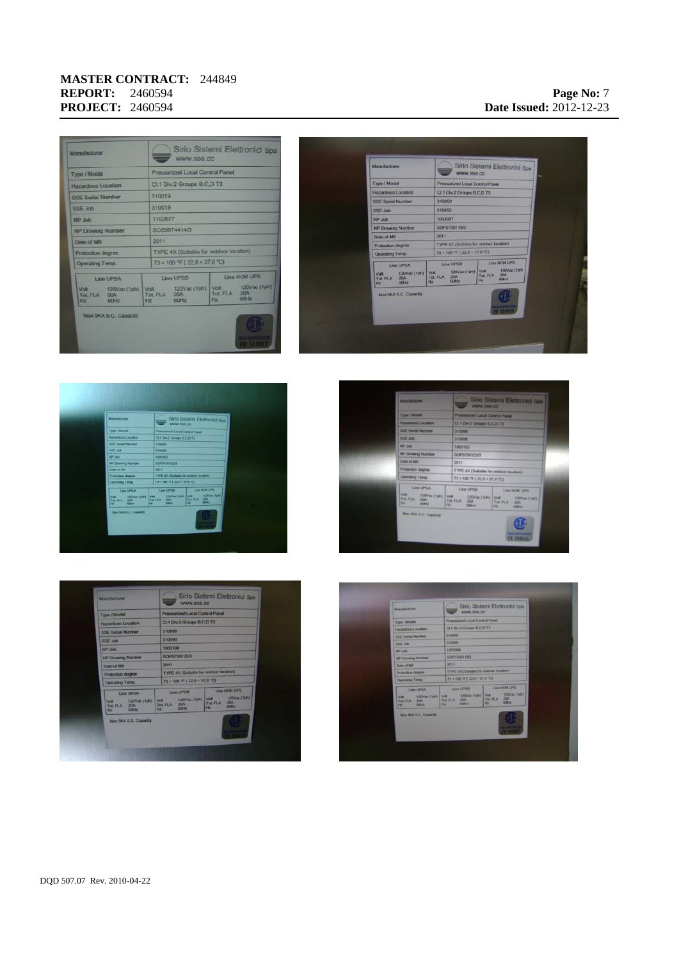## **MASTER CONTRACT:** 244849 **REPORT:** 2460594 **PROJECT:** 2460594